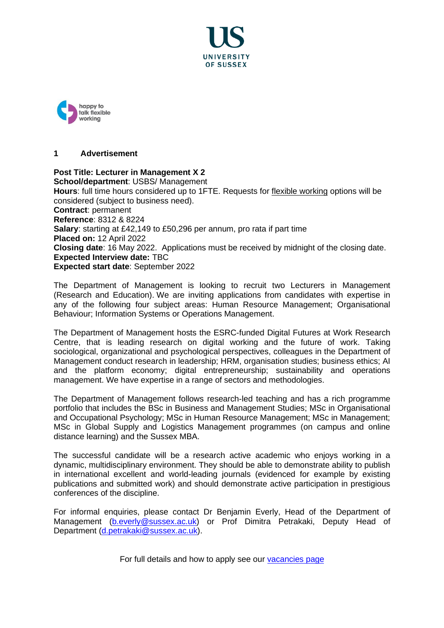



# **1 Advertisement**

**Post Title: Lecturer in Management X 2 School/department**: USBS/ Management **Hours**: full time hours considered up to 1FTE. Requests for [flexible working](http://www.sussex.ac.uk/humanresources/personnel/flexible-working) options will be considered (subject to business need). **Contract**: permanent **Reference**: 8312 & 8224 **Salary**: starting at £42,149 to £50,296 per annum, pro rata if part time **Placed on:** 12 April 2022 **Closing date**: 16 May 2022. Applications must be received by midnight of the closing date. **Expected Interview date:** TBC **Expected start date**: September 2022

The Department of Management is looking to recruit two Lecturers in Management (Research and Education). We are inviting applications from candidates with expertise in any of the following four subject areas: Human Resource Management; Organisational Behaviour; Information Systems or Operations Management.

The Department of Management hosts the ESRC-funded Digital Futures at Work Research Centre, that is leading research on digital working and the future of work. Taking sociological, organizational and psychological perspectives, colleagues in the Department of Management conduct research in leadership; HRM, organisation studies; business ethics; AI and the platform economy; digital entrepreneurship; sustainability and operations management. We have expertise in a range of sectors and methodologies.

The Department of Management follows research-led teaching and has a rich programme portfolio that includes the BSc in Business and Management Studies; MSc in Organisational and Occupational Psychology; MSc in Human Resource Management; MSc in Management; MSc in Global Supply and Logistics Management programmes (on campus and online distance learning) and the Sussex MBA.

The successful candidate will be a research active academic who enjoys working in a dynamic, multidisciplinary environment. They should be able to demonstrate ability to publish in international excellent and world-leading journals (evidenced for example by existing publications and submitted work) and should demonstrate active participation in prestigious conferences of the discipline.

For informal enquiries, please contact Dr Benjamin Everly, Head of the Department of Management [\(b.everly@sussex.ac.uk\)](mailto:b.everly@sussex.ac.uk) or Prof Dimitra Petrakaki, Deputy Head of Department [\(d.petrakaki@sussex.ac.uk\)](mailto:d.petrakaki@sussex.ac.uk).

For full details and how to apply see our [vacancies page](http://www.sussex.ac.uk/about/jobs)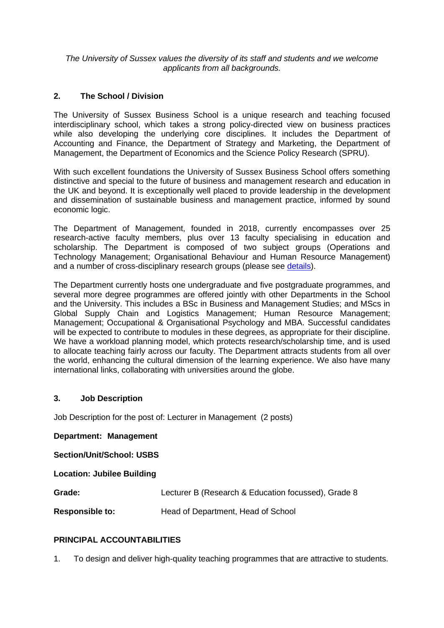*The University of Sussex values the diversity of its staff and students and we welcome applicants from all backgrounds.*

# **2. The School / Division**

The University of Sussex Business School is a unique research and teaching focused interdisciplinary school, which takes a strong policy-directed view on business practices while also developing the underlying core disciplines. It includes the Department of Accounting and Finance, the Department of Strategy and Marketing, the Department of Management, the Department of Economics and the Science Policy Research (SPRU).

With such excellent foundations the University of Sussex Business School offers something distinctive and special to the future of business and management research and education in the UK and beyond. It is exceptionally well placed to provide leadership in the development and dissemination of sustainable business and management practice, informed by sound economic logic.

The Department of Management, founded in 2018, currently encompasses over 25 research-active faculty members, plus over 13 faculty specialising in education and scholarship. The Department is composed of two subject groups (Operations and Technology Management; Organisational Behaviour and Human Resource Management) and a number of cross-disciplinary research groups (please see [details\)](https://www.sussex.ac.uk/business-school/management/research).

The Department currently hosts one undergraduate and five postgraduate programmes, and several more degree programmes are offered jointly with other Departments in the School and the University. This includes a BSc in Business and Management Studies; and MScs in Global Supply Chain and Logistics Management; Human Resource Management; Management; Occupational & Organisational Psychology and MBA. Successful candidates will be expected to contribute to modules in these degrees, as appropriate for their discipline. We have a workload planning model, which protects research/scholarship time, and is used to allocate teaching fairly across our faculty. The Department attracts students from all over the world, enhancing the cultural dimension of the learning experience. We also have many international links, collaborating with universities around the globe.

## **3. Job Description**

Job Description for the post of: Lecturer in Management (2 posts)

**Department: Management**

**Section/Unit/School: USBS**

#### **Location: Jubilee Building**

**Grade:** Lecturer B (Research & Education focussed), Grade 8

**Responsible to:** Head of Department, Head of School

# **PRINCIPAL ACCOUNTABILITIES**

1. To design and deliver high-quality teaching programmes that are attractive to students.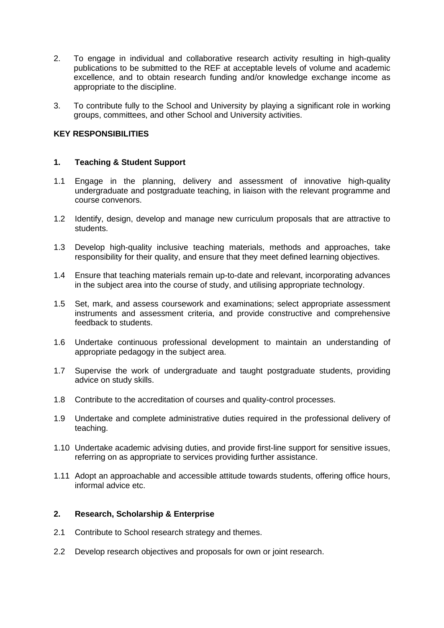- 2. To engage in individual and collaborative research activity resulting in high-quality publications to be submitted to the REF at acceptable levels of volume and academic excellence, and to obtain research funding and/or knowledge exchange income as appropriate to the discipline.
- 3. To contribute fully to the School and University by playing a significant role in working groups, committees, and other School and University activities.

## **KEY RESPONSIBILITIES**

## **1. Teaching & Student Support**

- 1.1 Engage in the planning, delivery and assessment of innovative high-quality undergraduate and postgraduate teaching, in liaison with the relevant programme and course convenors.
- 1.2 Identify, design, develop and manage new curriculum proposals that are attractive to students.
- 1.3 Develop high-quality inclusive teaching materials, methods and approaches, take responsibility for their quality, and ensure that they meet defined learning objectives.
- 1.4 Ensure that teaching materials remain up-to-date and relevant, incorporating advances in the subject area into the course of study, and utilising appropriate technology.
- 1.5 Set, mark, and assess coursework and examinations; select appropriate assessment instruments and assessment criteria, and provide constructive and comprehensive feedback to students.
- 1.6 Undertake continuous professional development to maintain an understanding of appropriate pedagogy in the subject area.
- 1.7 Supervise the work of undergraduate and taught postgraduate students, providing advice on study skills.
- 1.8 Contribute to the accreditation of courses and quality-control processes.
- 1.9 Undertake and complete administrative duties required in the professional delivery of teaching.
- 1.10 Undertake academic advising duties, and provide first-line support for sensitive issues, referring on as appropriate to services providing further assistance.
- 1.11 Adopt an approachable and accessible attitude towards students, offering office hours, informal advice etc.

## **2. Research, Scholarship & Enterprise**

- 2.1 Contribute to School research strategy and themes.
- 2.2 Develop research objectives and proposals for own or joint research.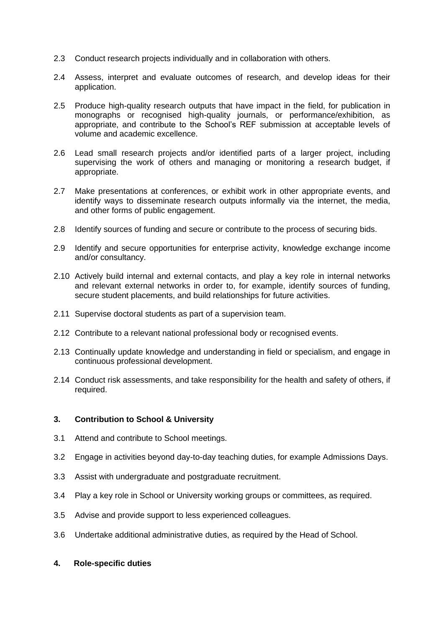- 2.3 Conduct research projects individually and in collaboration with others.
- 2.4 Assess, interpret and evaluate outcomes of research, and develop ideas for their application.
- 2.5 Produce high-quality research outputs that have impact in the field, for publication in monographs or recognised high-quality journals, or performance/exhibition, as appropriate, and contribute to the School's REF submission at acceptable levels of volume and academic excellence.
- 2.6 Lead small research projects and/or identified parts of a larger project, including supervising the work of others and managing or monitoring a research budget, if appropriate.
- 2.7 Make presentations at conferences, or exhibit work in other appropriate events, and identify ways to disseminate research outputs informally via the internet, the media, and other forms of public engagement.
- 2.8 Identify sources of funding and secure or contribute to the process of securing bids.
- 2.9 Identify and secure opportunities for enterprise activity, knowledge exchange income and/or consultancy.
- 2.10 Actively build internal and external contacts, and play a key role in internal networks and relevant external networks in order to, for example, identify sources of funding, secure student placements, and build relationships for future activities.
- 2.11 Supervise doctoral students as part of a supervision team.
- 2.12 Contribute to a relevant national professional body or recognised events.
- 2.13 Continually update knowledge and understanding in field or specialism, and engage in continuous professional development.
- 2.14 Conduct risk assessments, and take responsibility for the health and safety of others, if required.

#### **3. Contribution to School & University**

- 3.1 Attend and contribute to School meetings.
- 3.2 Engage in activities beyond day-to-day teaching duties, for example Admissions Days.
- 3.3 Assist with undergraduate and postgraduate recruitment.
- 3.4 Play a key role in School or University working groups or committees, as required.
- 3.5 Advise and provide support to less experienced colleagues.
- 3.6 Undertake additional administrative duties, as required by the Head of School.
- **4. Role-specific duties**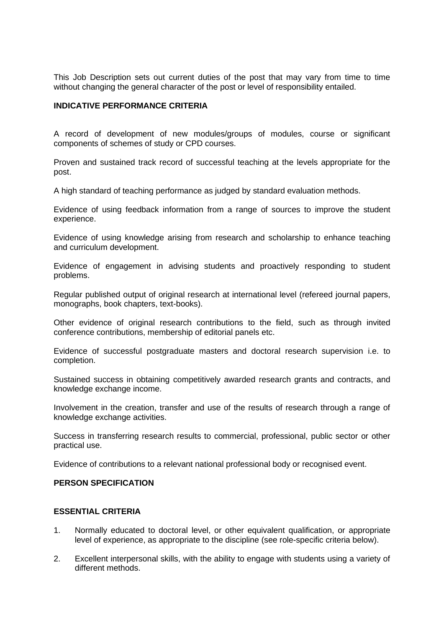This Job Description sets out current duties of the post that may vary from time to time without changing the general character of the post or level of responsibility entailed.

### **INDICATIVE PERFORMANCE CRITERIA**

A record of development of new modules/groups of modules, course or significant components of schemes of study or CPD courses.

Proven and sustained track record of successful teaching at the levels appropriate for the post.

A high standard of teaching performance as judged by standard evaluation methods.

Evidence of using feedback information from a range of sources to improve the student experience.

Evidence of using knowledge arising from research and scholarship to enhance teaching and curriculum development.

Evidence of engagement in advising students and proactively responding to student problems.

Regular published output of original research at international level (refereed journal papers, monographs, book chapters, text-books).

Other evidence of original research contributions to the field, such as through invited conference contributions, membership of editorial panels etc.

Evidence of successful postgraduate masters and doctoral research supervision i.e. to completion.

Sustained success in obtaining competitively awarded research grants and contracts, and knowledge exchange income.

Involvement in the creation, transfer and use of the results of research through a range of knowledge exchange activities.

Success in transferring research results to commercial, professional, public sector or other practical use.

Evidence of contributions to a relevant national professional body or recognised event.

#### **PERSON SPECIFICATION**

### **ESSENTIAL CRITERIA**

- 1. Normally educated to doctoral level, or other equivalent qualification, or appropriate level of experience, as appropriate to the discipline (see role-specific criteria below).
- 2. Excellent interpersonal skills, with the ability to engage with students using a variety of different methods.